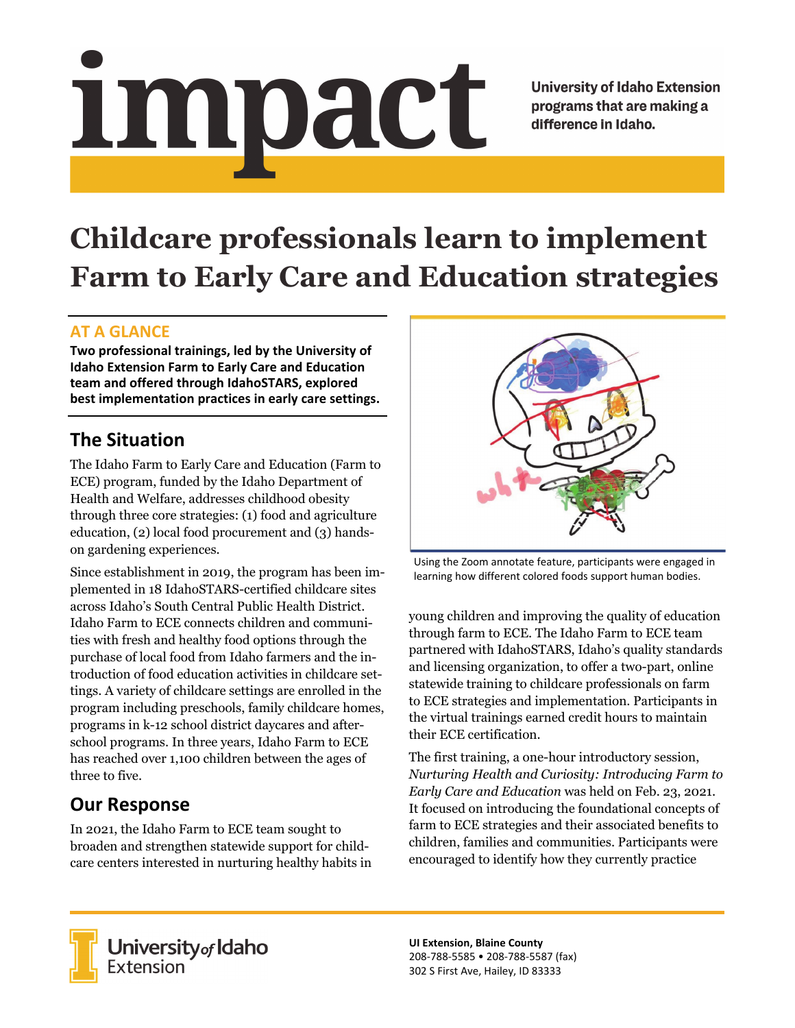# impact

**University of Idaho Extension** programs that are making a difference in Idaho.

# **Childcare professionals learn to implement Farm to Early Care and Education strategies**

### **AT A GLANCE**

**Two professional trainings, led by the University of Idaho Extension Farm to Early Care and Education team and offered through IdahoSTARS, explored best implementation practices in early care settings.**

# **The Situation**

The Idaho Farm to Early Care and Education (Farm to ECE) program, funded by the Idaho Department of Health and Welfare, addresses childhood obesity through three core strategies: (1) food and agriculture education, (2) local food procurement and (3) handson gardening experiences.

Since establishment in 2019, the program has been implemented in 18 IdahoSTARS-certified childcare sites across Idaho's South Central Public Health District. Idaho Farm to ECE connects children and communities with fresh and healthy food options through the purchase of local food from Idaho farmers and the introduction of food education activities in childcare settings. A variety of childcare settings are enrolled in the program including preschools, family childcare homes, programs in k-12 school district daycares and afterschool programs. In three years, Idaho Farm to ECE has reached over 1,100 children between the ages of three to five.

# **Our Response**

In 2021, the Idaho Farm to ECE team sought to broaden and strengthen statewide support for childcare centers interested in nurturing healthy habits in



Using the Zoom annotate feature, participants were engaged in learning how different colored foods support human bodies.

young children and improving the quality of education through farm to ECE. The Idaho Farm to ECE team partnered with IdahoSTARS, Idaho's quality standards and licensing organization, to offer a two-part, online statewide training to childcare professionals on farm to ECE strategies and implementation. Participants in the virtual trainings earned credit hours to maintain their ECE certification.

The first training, a one-hour introductory session, *Nurturing Health and Curiosity: Introducing Farm to Early Care and Education* was held on Feb. 23, 2021. It focused on introducing the foundational concepts of farm to ECE strategies and their associated benefits to children, families and communities. Participants were encouraged to identify how they currently practice



University of Idaho<br>Extension

**UI Extension, Blaine County** 208‐788‐5585 • 208‐788‐5587 (fax) 302 S First Ave, Hailey, ID 83333